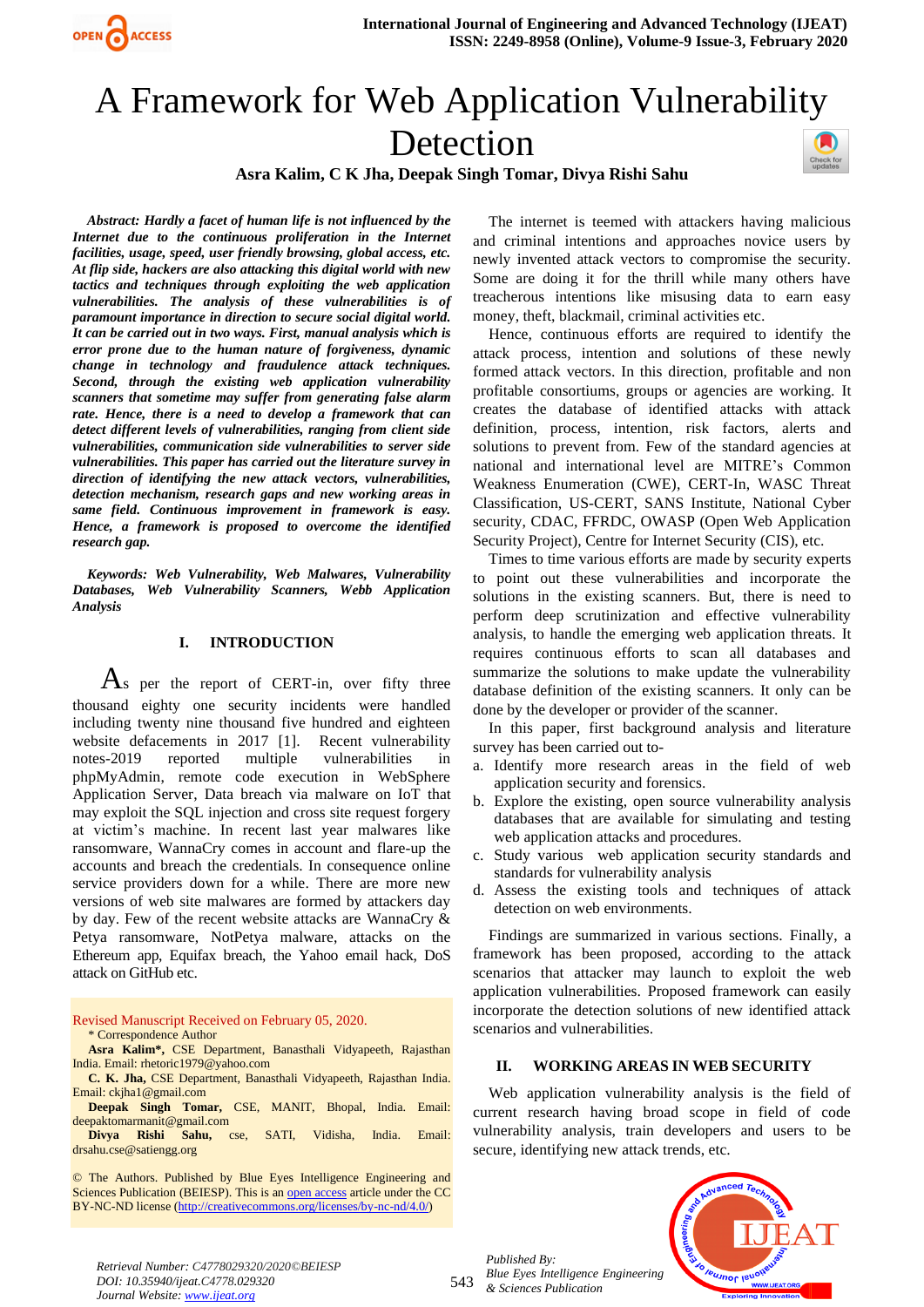

# A Framework for Web Application Vulnerability Detection





*Abstract: Hardly a facet of human life is not influenced by the Internet due to the continuous proliferation in the Internet facilities, usage, speed, user friendly browsing, global access, etc. At flip side, hackers are also attacking this digital world with new tactics and techniques through exploiting the web application vulnerabilities. The analysis of these vulnerabilities is of paramount importance in direction to secure social digital world. It can be carried out in two ways. First, manual analysis which is error prone due to the human nature of forgiveness, dynamic change in technology and fraudulence attack techniques. Second, through the existing web application vulnerability scanners that sometime may suffer from generating false alarm rate. Hence, there is a need to develop a framework that can detect different levels of vulnerabilities, ranging from client side vulnerabilities, communication side vulnerabilities to server side vulnerabilities. This paper has carried out the literature survey in direction of identifying the new attack vectors, vulnerabilities, detection mechanism, research gaps and new working areas in same field. Continuous improvement in framework is easy. Hence, a framework is proposed to overcome the identified research gap.*

*Keywords: Web Vulnerability, Web Malwares, Vulnerability Databases, Web Vulnerability Scanners, Webb Application Analysis*

## **I. INTRODUCTION**

 $\overline{A}$ s per the report of CERT-in, over fifty three thousand eighty one security incidents were handled including twenty nine thousand five hundred and eighteen website defacements in 2017 [1]. Recent vulnerability notes-2019 reported multiple vulnerabilities in phpMyAdmin, remote code execution in WebSphere Application Server, Data breach via malware on IoT that may exploit the SQL injection and cross site request forgery at victim's machine. In recent last year malwares like ransomware, WannaCry comes in account and flare-up the accounts and breach the credentials. In consequence online service providers down for a while. There are more new versions of web site malwares are formed by attackers day by day. Few of the recent website attacks are WannaCry & Petya ransomware, NotPetya malware, attacks on the Ethereum app, Equifax breach, the Yahoo email hack, DoS attack on GitHub etc.

Revised Manuscript Received on February 05, 2020.

\* Correspondence Author

**Asra Kalim\*,** CSE Department, Banasthali Vidyapeeth, Rajasthan India. Email[: rhetoric1979@yahoo.com](mailto:rhetoric1979@yahoo.com)

**C. K. Jha,** CSE Department, Banasthali Vidyapeeth, Rajasthan India. Email[: ckjha1@gmail.com](mailto:ckjha1@gmail.com)

**Deepak Singh Tomar,** CSE, MANIT, Bhopal, India. Email: [deepaktomarmanit@gmail.com](mailto:deepaktomarmanit@gmail.com)

**Divya Rishi Sahu,** cse, SATI, Vidisha, India. Email: [drsahu.cse@satiengg.org](mailto:drsahu.cse@satiengg.org)

© The Authors. Published by Blue Eyes Intelligence Engineering and Sciences Publication (BEIESP). This is a[n open access](https://www.openaccess.nl/en/open-publications) article under the CC BY-NC-ND license [\(http://creativecommons.org/licenses/by-nc-nd/4.0/\)](http://creativecommons.org/licenses/by-nc-nd/4.0/)

The internet is teemed with attackers having malicious and criminal intentions and approaches novice users by newly invented attack vectors to compromise the security. Some are doing it for the thrill while many others have treacherous intentions like misusing data to earn easy money, theft, blackmail, criminal activities etc.

Hence, continuous efforts are required to identify the attack process, intention and solutions of these newly formed attack vectors. In this direction, profitable and non profitable consortiums, groups or agencies are working. It creates the database of identified attacks with attack definition, process, intention, risk factors, alerts and solutions to prevent from. Few of the standard agencies at national and international level are MITRE's Common Weakness Enumeration (CWE), CERT-In, WASC Threat Classification, US-CERT, SANS Institute, National Cyber security, CDAC, FFRDC, OWASP (Open Web Application Security Project), Centre for Internet Security (CIS), etc.

Times to time various efforts are made by security experts to point out these vulnerabilities and incorporate the solutions in the existing scanners. But, there is need to perform deep scrutinization and effective vulnerability analysis, to handle the emerging web application threats. It requires continuous efforts to scan all databases and summarize the solutions to make update the vulnerability database definition of the existing scanners. It only can be done by the developer or provider of the scanner.

In this paper, first background analysis and literature survey has been carried out to-

- a. Identify more research areas in the field of web application security and forensics.
- b. Explore the existing, open source vulnerability analysis databases that are available for simulating and testing web application attacks and procedures.
- c. Study various web application security standards and standards for vulnerability analysis
- d. Assess the existing tools and techniques of attack detection on web environments.

Findings are summarized in various sections. Finally, a framework has been proposed, according to the attack scenarios that attacker may launch to exploit the web application vulnerabilities. Proposed framework can easily incorporate the detection solutions of new identified attack scenarios and vulnerabilities.

## **II. WORKING AREAS IN WEB SECURITY**

Web application vulnerability analysis is the field of current research having broad scope in field of code vulnerability analysis, train developers and users to be secure, identifying new attack trends, etc.

*Published By: Blue Eyes Intelligence Engineering & Sciences Publication* 



*Retrieval Number: C4778029320/2020©BEIESP DOI: 10.35940/ijeat.C4778.029320 Journal Website[: www.ijeat.org](http://www.ijeat.org/)*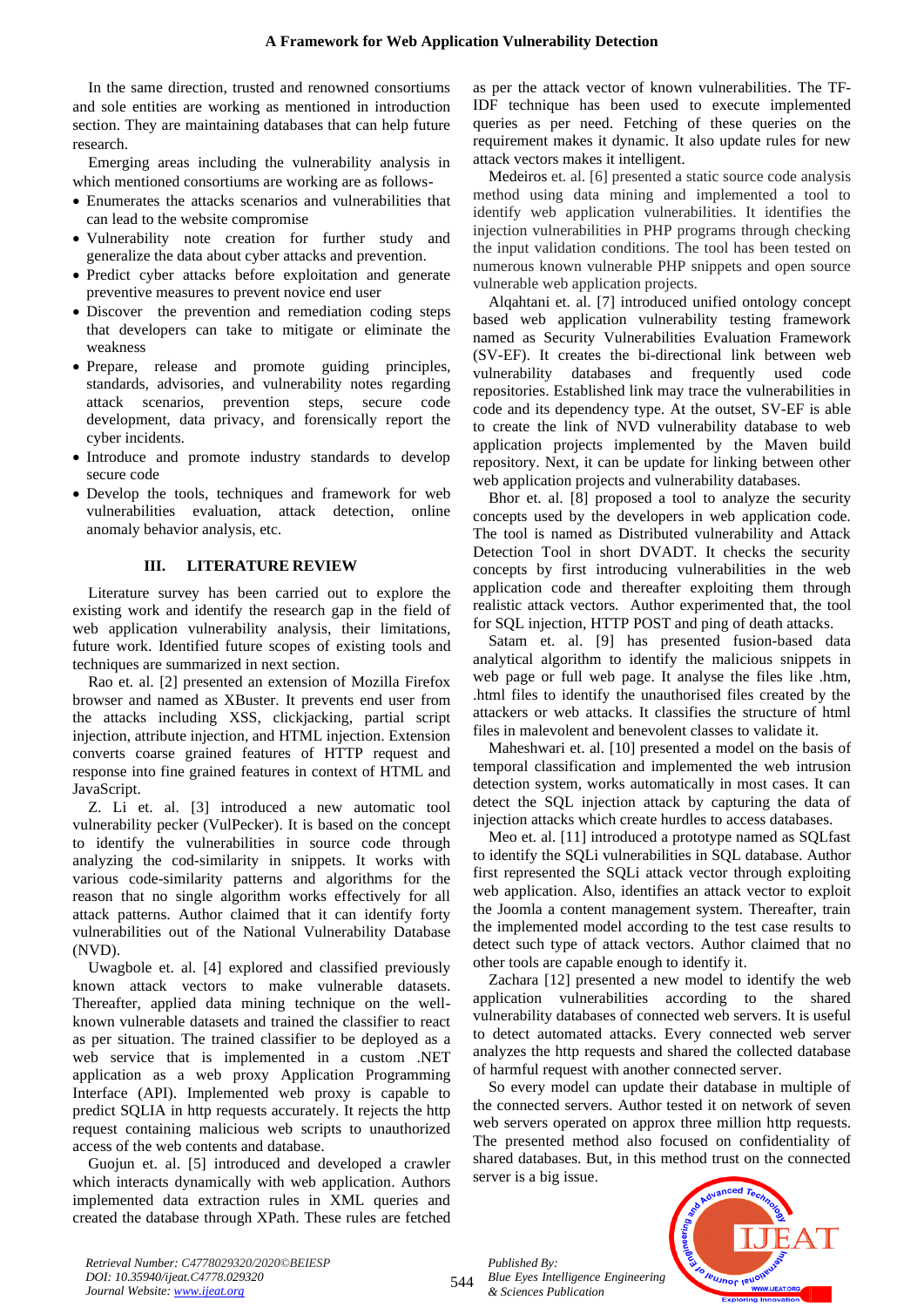In the same direction, trusted and renowned consortiums and sole entities are working as mentioned in introduction section. They are maintaining databases that can help future research.

Emerging areas including the vulnerability analysis in which mentioned consortiums are working are as follows-

- Enumerates the attacks scenarios and vulnerabilities that can lead to the website compromise
- Vulnerability note creation for further study and generalize the data about cyber attacks and prevention.
- Predict cyber attacks before exploitation and generate preventive measures to prevent novice end user
- Discover the prevention and remediation coding steps that developers can take to mitigate or eliminate the weakness
- Prepare, release and promote guiding principles, standards, advisories, and vulnerability notes regarding attack scenarios, prevention steps, secure code development, data privacy, and forensically report the cyber incidents.
- Introduce and promote industry standards to develop secure code
- Develop the tools, techniques and framework for web vulnerabilities evaluation, attack detection, online anomaly behavior analysis, etc.

## **III. LITERATURE REVIEW**

Literature survey has been carried out to explore the existing work and identify the research gap in the field of web application vulnerability analysis, their limitations, future work. Identified future scopes of existing tools and techniques are summarized in next section.

Rao et. al. [2] presented an extension of Mozilla Firefox browser and named as XBuster. It prevents end user from the attacks including XSS, clickjacking, partial script injection, attribute injection, and HTML injection. Extension converts coarse grained features of HTTP request and response into fine grained features in context of HTML and JavaScript.

Z. Li et. al. [3] introduced a new automatic tool vulnerability pecker (VulPecker). It is based on the concept to identify the vulnerabilities in source code through analyzing the cod-similarity in snippets. It works with various code-similarity patterns and algorithms for the reason that no single algorithm works effectively for all attack patterns. Author claimed that it can identify forty vulnerabilities out of the National Vulnerability Database (NVD).

Uwagbole et. al. [4] explored and classified previously known attack vectors to make vulnerable datasets. Thereafter, applied data mining technique on the wellknown vulnerable datasets and trained the classifier to react as per situation. The trained classifier to be deployed as a web service that is implemented in a custom .NET application as a web proxy Application Programming Interface (API). Implemented web proxy is capable to predict SQLIA in http requests accurately. It rejects the http request containing malicious web scripts to unauthorized access of the web contents and database.

Guojun et. al. [5] introduced and developed a crawler which interacts dynamically with web application. Authors implemented data extraction rules in XML queries and created the database through XPath. These rules are fetched as per the attack vector of known vulnerabilities. The TF-IDF technique has been used to execute implemented queries as per need. Fetching of these queries on the requirement makes it dynamic. It also update rules for new attack vectors makes it intelligent.

Medeiros et. al. [6] presented a static source code analysis method using data mining and implemented a tool to identify web application vulnerabilities. It identifies the injection vulnerabilities in PHP programs through checking the input validation conditions. The tool has been tested on numerous known vulnerable PHP snippets and open source vulnerable web application projects.

Alqahtani et. al. [7] introduced unified ontology concept based web application vulnerability testing framework named as Security Vulnerabilities Evaluation Framework (SV-EF). It creates the bi-directional link between web vulnerability databases and frequently used code repositories. Established link may trace the vulnerabilities in code and its dependency type. At the outset, SV-EF is able to create the link of NVD vulnerability database to web application projects implemented by the Maven build repository. Next, it can be update for linking between other web application projects and vulnerability databases.

Bhor et. al. [8] proposed a tool to analyze the security concepts used by the developers in web application code. The tool is named as Distributed vulnerability and Attack Detection Tool in short DVADT. It checks the security concepts by first introducing vulnerabilities in the web application code and thereafter exploiting them through realistic attack vectors. Author experimented that, the tool for SQL injection, HTTP POST and ping of death attacks.

Satam et. al. [9] has presented fusion-based data analytical algorithm to identify the malicious snippets in web page or full web page. It analyse the files like .htm, .html files to identify the unauthorised files created by the attackers or web attacks. It classifies the structure of html files in malevolent and benevolent classes to validate it.

Maheshwari et. al. [10] presented a model on the basis of temporal classification and implemented the web intrusion detection system, works automatically in most cases. It can detect the SQL injection attack by capturing the data of injection attacks which create hurdles to access databases.

Meo et. al. [11] introduced a prototype named as SQLfast to identify the SQLi vulnerabilities in SQL database. Author first represented the SQLi attack vector through exploiting web application. Also, identifies an attack vector to exploit the Joomla a content management system. Thereafter, train the implemented model according to the test case results to detect such type of attack vectors. Author claimed that no other tools are capable enough to identify it.

Zachara [12] presented a new model to identify the web application vulnerabilities according to the shared vulnerability databases of connected web servers. It is useful to detect automated attacks. Every connected web server analyzes the http requests and shared the collected database of harmful request with another connected server.

So every model can update their database in multiple of the connected servers. Author tested it on network of seven web servers operated on approx three million http requests. The presented method also focused on confidentiality of shared databases. But, in this method trust on the connected server is a big issue.

*Published By: Blue Eyes Intelligence Engineering & Sciences Publication* 



*Retrieval Number: C4778029320/2020©BEIESP DOI: 10.35940/ijeat.C4778.029320 Journal Website[: www.ijeat.org](http://www.ijeat.org/)*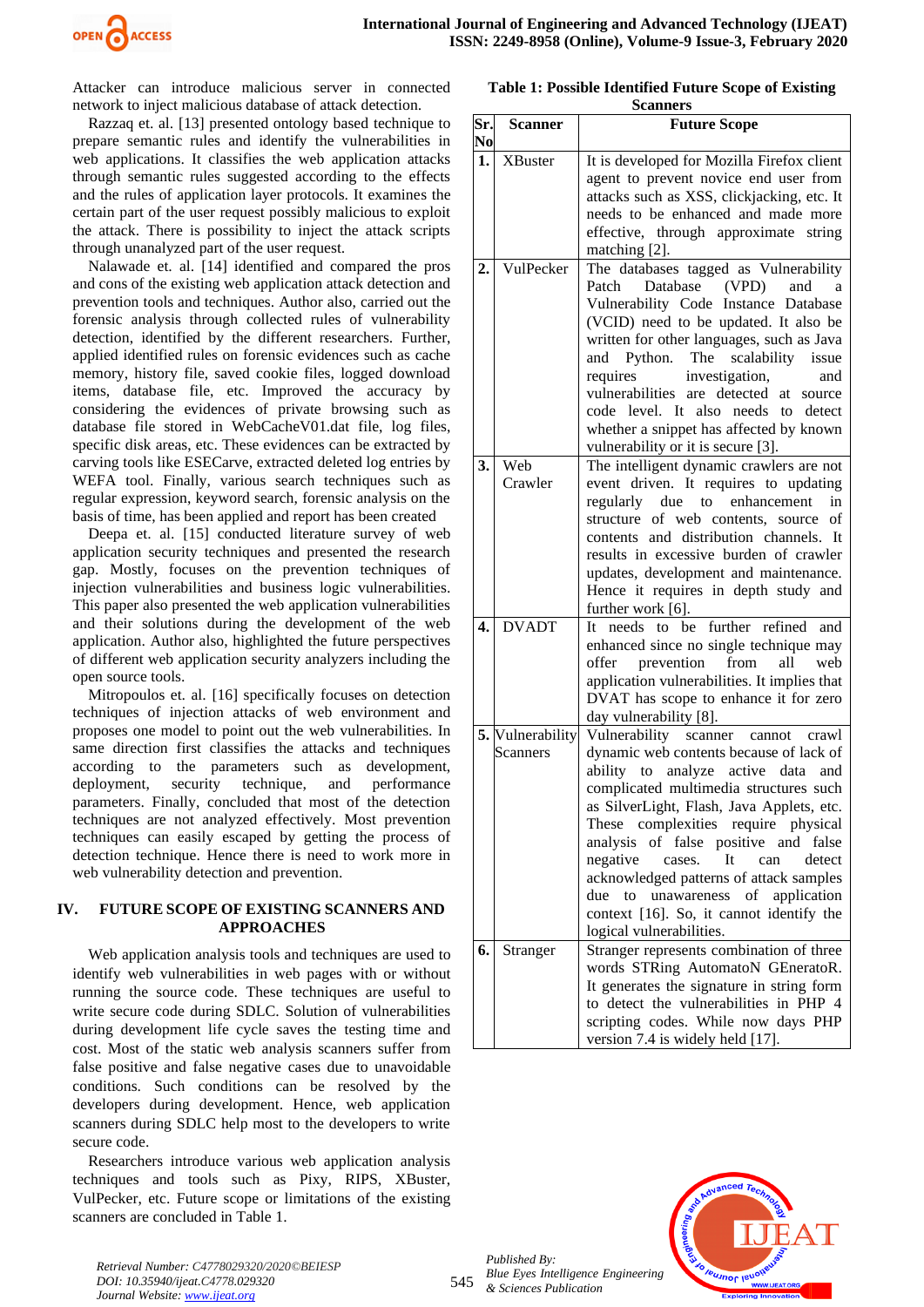

Attacker can introduce malicious server in connected network to inject malicious database of attack detection.

Razzaq et. al. [13] presented ontology based technique to prepare semantic rules and identify the vulnerabilities in web applications. It classifies the web application attacks through semantic rules suggested according to the effects and the rules of application layer protocols. It examines the certain part of the user request possibly malicious to exploit the attack. There is possibility to inject the attack scripts through unanalyzed part of the user request.

Nalawade et. al. [14] identified and compared the pros and cons of the existing web application attack detection and prevention tools and techniques. Author also, carried out the forensic analysis through collected rules of vulnerability detection, identified by the different researchers. Further, applied identified rules on forensic evidences such as cache memory, history file, saved cookie files, logged download items, database file, etc. Improved the accuracy by considering the evidences of private browsing such as database file stored in WebCacheV01.dat file, log files, specific disk areas, etc. These evidences can be extracted by carving tools like ESECarve, extracted deleted log entries by WEFA tool. Finally, various search techniques such as regular expression, keyword search, forensic analysis on the basis of time, has been applied and report has been created

Deepa et. al. [15] conducted literature survey of web application security techniques and presented the research gap. Mostly, focuses on the prevention techniques of injection vulnerabilities and business logic vulnerabilities. This paper also presented the web application vulnerabilities and their solutions during the development of the web application. Author also, highlighted the future perspectives of different web application security analyzers including the open source tools.

Mitropoulos et. al. [16] specifically focuses on detection techniques of injection attacks of web environment and proposes one model to point out the web vulnerabilities. In same direction first classifies the attacks and techniques according to the parameters such as development, deployment, security technique, and performance parameters. Finally, concluded that most of the detection techniques are not analyzed effectively. Most prevention techniques can easily escaped by getting the process of detection technique. Hence there is need to work more in web vulnerability detection and prevention.

## **IV. FUTURE SCOPE OF EXISTING SCANNERS AND APPROACHES**

Web application analysis tools and techniques are used to identify web vulnerabilities in web pages with or without running the source code. These techniques are useful to write secure code during SDLC. Solution of vulnerabilities during development life cycle saves the testing time and cost. Most of the static web analysis scanners suffer from false positive and false negative cases due to unavoidable conditions. Such conditions can be resolved by the developers during development. Hence, web application scanners during SDLC help most to the developers to write secure code.

Researchers introduce various web application analysis techniques and tools such as Pixy, RIPS, XBuster, VulPecker, etc. Future scope or limitations of the existing scanners are concluded in Table 1.

**Table 1: Possible Identified Future Scope of Existing** 

|     |                  | <b>Scanners</b>                               |
|-----|------------------|-----------------------------------------------|
| Sr. | Scanner          | <b>Future Scope</b>                           |
| No  |                  |                                               |
| 1.  | <b>XBuster</b>   | It is developed for Mozilla Firefox client    |
|     |                  | agent to prevent novice end user from         |
|     |                  | attacks such as XSS, clickjacking, etc. It    |
|     |                  | needs to be enhanced and made more            |
|     |                  | effective, through approximate<br>string      |
|     |                  | matching [2].                                 |
| 2.  | VulPecker        | The databases tagged as Vulnerability         |
|     |                  | Database (VPD)<br>Patch<br>and<br>a           |
|     |                  | Vulnerability Code Instance Database          |
|     |                  | (VCID) need to be updated. It also be         |
|     |                  | written for other languages, such as Java     |
|     |                  | and Python. The scalability issue             |
|     |                  | investigation,<br>requires<br>and             |
|     |                  | vulnerabilities are detected at<br>source     |
|     |                  | code level. It also needs to detect           |
|     |                  | whether a snippet has affected by known       |
|     |                  | vulnerability or it is secure [3].            |
| 3.  | Web              | The intelligent dynamic crawlers are not      |
|     | Crawler          | event driven. It requires to updating         |
|     |                  | regularly due<br>to enhancement<br>in         |
|     |                  | structure of web contents,<br>of<br>source    |
|     |                  | contents and distribution channels. It        |
|     |                  | results in excessive burden of crawler        |
|     |                  | updates, development and maintenance.         |
|     |                  | Hence it requires in depth study and          |
|     |                  | further work $[6]$ .                          |
| 4.  | <b>DVADT</b>     | further refined<br>It needs to be<br>and      |
|     |                  | enhanced since no single technique may        |
|     |                  | offer<br>prevention<br>from<br>all<br>web     |
|     |                  | application vulnerabilities. It implies that  |
|     |                  | DVAT has scope to enhance it for zero         |
|     |                  | day vulnerability [8].                        |
|     | 5. Vulnerability | Vulnerability<br>scanner<br>cannot<br>crawl   |
|     | Scanners         | dynamic web contents because of lack of       |
|     |                  | ability to<br>analyze active data<br>and      |
|     |                  | complicated multimedia structures such        |
|     |                  | as SilverLight, Flash, Java Applets, etc.     |
|     |                  | These complexities require physical           |
|     |                  | analysis<br>of false positive and false       |
|     |                  | negative<br>It<br>cases.<br>can<br>detect     |
|     |                  | acknowledged patterns of attack samples       |
|     |                  | due<br>unawareness<br>of<br>application<br>to |
|     |                  | context [16]. So, it cannot identify the      |
|     |                  | logical vulnerabilities.                      |
| 6.  | Stranger         | Stranger represents combination of three      |
|     |                  | words STRing AutomatoN GEneratoR.             |
|     |                  | It generates the signature in string form     |
|     |                  | to detect the vulnerabilities in PHP 4        |
|     |                  | scripting codes. While now days PHP           |
|     |                  | version 7.4 is widely held [17].              |

*Published By: Blue Eyes Intelligence Engineering & Sciences Publication* 



*Retrieval Number: C4778029320/2020©BEIESP DOI: 10.35940/ijeat.C4778.029320 Journal Website[: www.ijeat.org](http://www.ijeat.org/)*

545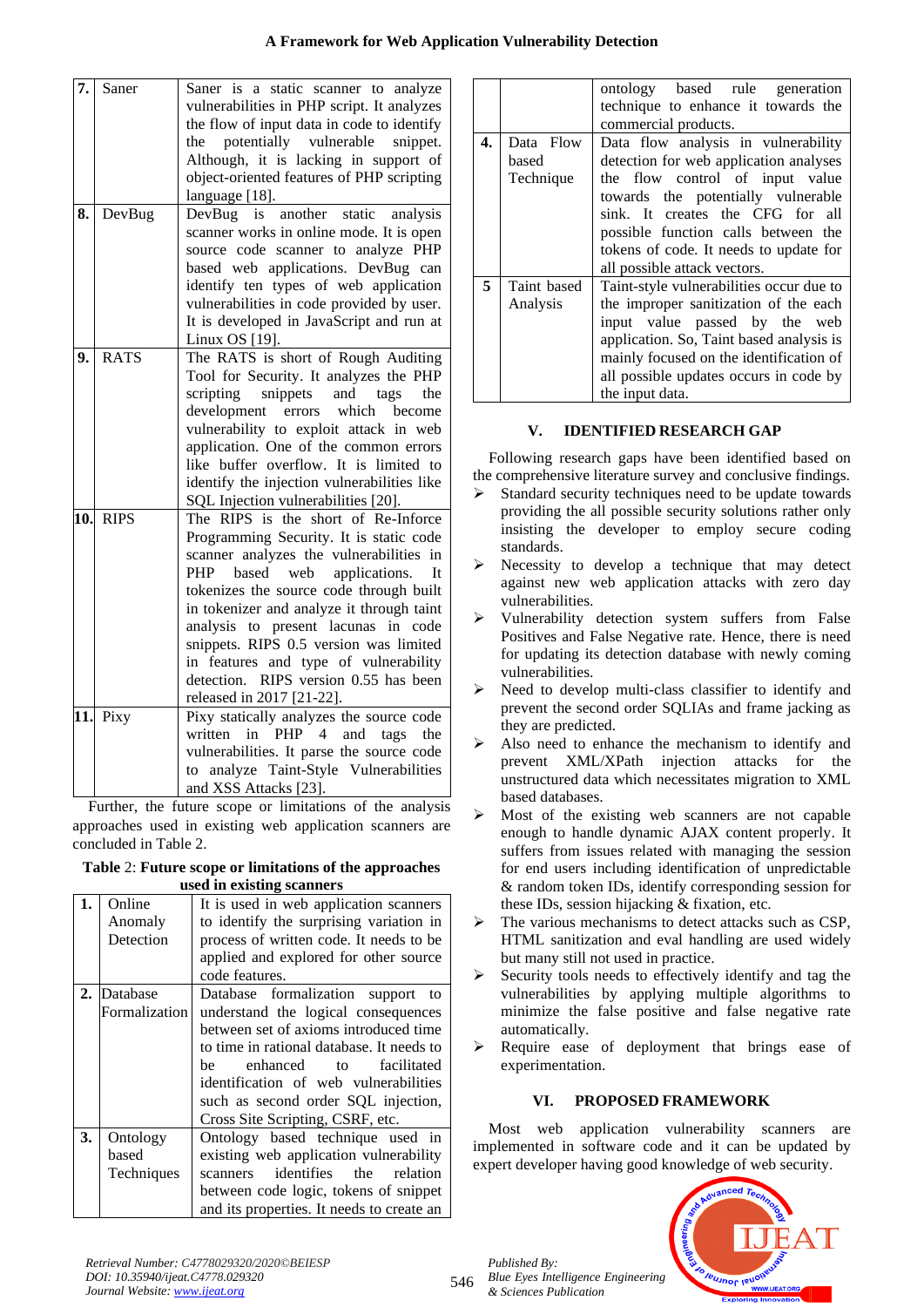# **A Framework for Web Application Vulnerability Detection**

| 7.         | Saner       | Saner is a static scanner to analyze<br>vulnerabilities in PHP script. It analyzes<br>the flow of input data in code to identify<br>potentially vulnerable snippet.<br>the<br>Although, it is lacking in support of<br>object-oriented features of PHP scripting<br>language [18].                                                                                                                                                                              |
|------------|-------------|-----------------------------------------------------------------------------------------------------------------------------------------------------------------------------------------------------------------------------------------------------------------------------------------------------------------------------------------------------------------------------------------------------------------------------------------------------------------|
| 8.         | DevBug      | DevBug<br>is<br>another static<br>analysis<br>scanner works in online mode. It is open<br>source code scanner to analyze PHP<br>based web applications. DevBug can<br>identify ten types of web application<br>vulnerabilities in code provided by user.<br>It is developed in JavaScript and run at<br>Linux OS [19].                                                                                                                                          |
| 9.         | <b>RATS</b> | The RATS is short of Rough Auditing<br>Tool for Security. It analyzes the PHP<br>snippets<br>scripting<br>and<br>tags<br>the<br>development errors which become<br>vulnerability to exploit attack in web<br>application. One of the common errors<br>like buffer overflow. It is limited to<br>identify the injection vulnerabilities like<br>SQL Injection vulnerabilities [20].                                                                              |
| 10.        | <b>RIPS</b> | The RIPS is the short of Re-Inforce<br>Programming Security. It is static code<br>scanner analyzes the vulnerabilities in<br>PHP<br>based web<br>applications.<br>It<br>tokenizes the source code through built<br>in tokenizer and analyze it through taint<br>analysis to present lacunas<br>in code<br>snippets. RIPS 0.5 version was limited<br>in features and type of vulnerability<br>detection. RIPS version 0.55 has been<br>released in 2017 [21-22]. |
| <b>11.</b> | Pixy        | Pixy statically analyzes the source code<br>written<br>in<br>PHP<br>4<br>and<br>tags<br>the<br>vulnerabilities. It parse the source code<br>analyze Taint-Style Vulnerabilities<br>to<br>and XSS Attacks [23].                                                                                                                                                                                                                                                  |

Further, the future scope or limitations of the analysis approaches used in existing web application scanners are concluded in Table 2.

| Table 2: Future scope or limitations of the approaches |
|--------------------------------------------------------|
| used in existing scanners                              |

|    | $\alpha$ in $\alpha$ can $\alpha$ $\alpha$ $\beta$ |                                           |  |  |
|----|----------------------------------------------------|-------------------------------------------|--|--|
| 1. | Online                                             | It is used in web application scanners    |  |  |
|    | Anomaly                                            | to identify the surprising variation in   |  |  |
|    | Detection                                          | process of written code. It needs to be   |  |  |
|    |                                                    | applied and explored for other source     |  |  |
|    |                                                    | code features.                            |  |  |
|    | 2. Database                                        | Database formalization support to         |  |  |
|    | Formalization                                      | understand the logical consequences       |  |  |
|    |                                                    | between set of axioms introduced time     |  |  |
|    |                                                    | to time in rational database. It needs to |  |  |
|    |                                                    | facilitated<br>enhanced<br>he<br>to       |  |  |
|    |                                                    | identification of web vulnerabilities     |  |  |
|    |                                                    | such as second order SQL injection,       |  |  |
|    |                                                    | Cross Site Scripting, CSRF, etc.          |  |  |
| 3. | Ontology                                           | Ontology based technique used in          |  |  |
|    | based                                              | existing web application vulnerability    |  |  |
|    | Techniques                                         | identifies the<br>relation<br>scanners    |  |  |
|    |                                                    | between code logic, tokens of snippet     |  |  |
|    |                                                    | and its properties. It needs to create an |  |  |

|    |                                 | ontology based rule generation<br>technique to enhance it towards the<br>commercial products.                                                                                                                                                                                                               |
|----|---------------------------------|-------------------------------------------------------------------------------------------------------------------------------------------------------------------------------------------------------------------------------------------------------------------------------------------------------------|
| 4. | Data Flow<br>based<br>Technique | Data flow analysis in vulnerability<br>detection for web application analyses<br>the flow control of input value<br>towards the potentially vulnerable<br>sink. It creates the CFG for all<br>possible function calls between the<br>tokens of code. It needs to update for<br>all possible attack vectors. |
| 5  | Taint based<br>Analysis         | Taint-style vulnerabilities occur due to<br>the improper sanitization of the each<br>input value passed by the web<br>application. So, Taint based analysis is<br>mainly focused on the identification of<br>all possible updates occurs in code by<br>the input data.                                      |

# **V. IDENTIFIED RESEARCH GAP**

Following research gaps have been identified based on the comprehensive literature survey and conclusive findings.

- ➢ Standard security techniques need to be update towards providing the all possible security solutions rather only insisting the developer to employ secure coding standards.
- ➢ Necessity to develop a technique that may detect against new web application attacks with zero day vulnerabilities.
- ➢ Vulnerability detection system suffers from False Positives and False Negative rate. Hence, there is need for updating its detection database with newly coming vulnerabilities.
- ➢ Need to develop multi-class classifier to identify and prevent the second order SQLIAs and frame jacking as they are predicted.
- ➢ Also need to enhance the mechanism to identify and prevent XML/XPath injection attacks for the unstructured data which necessitates migration to XML based databases.
- ➢ Most of the existing web scanners are not capable enough to handle dynamic AJAX content properly. It suffers from issues related with managing the session for end users including identification of unpredictable & random token IDs, identify corresponding session for these IDs, session hijacking & fixation, etc.
- ➢ The various mechanisms to detect attacks such as CSP, HTML sanitization and eval handling are used widely but many still not used in practice.
- ➢ Security tools needs to effectively identify and tag the vulnerabilities by applying multiple algorithms to minimize the false positive and false negative rate automatically.
- ➢ Require ease of deployment that brings ease of experimentation.

# **VI. PROPOSED FRAMEWORK**

Most web application vulnerability scanners are implemented in software code and it can be updated by expert developer having good knowledge of web security.



546

*Published By: Blue Eyes Intelligence Engineering & Sciences Publication*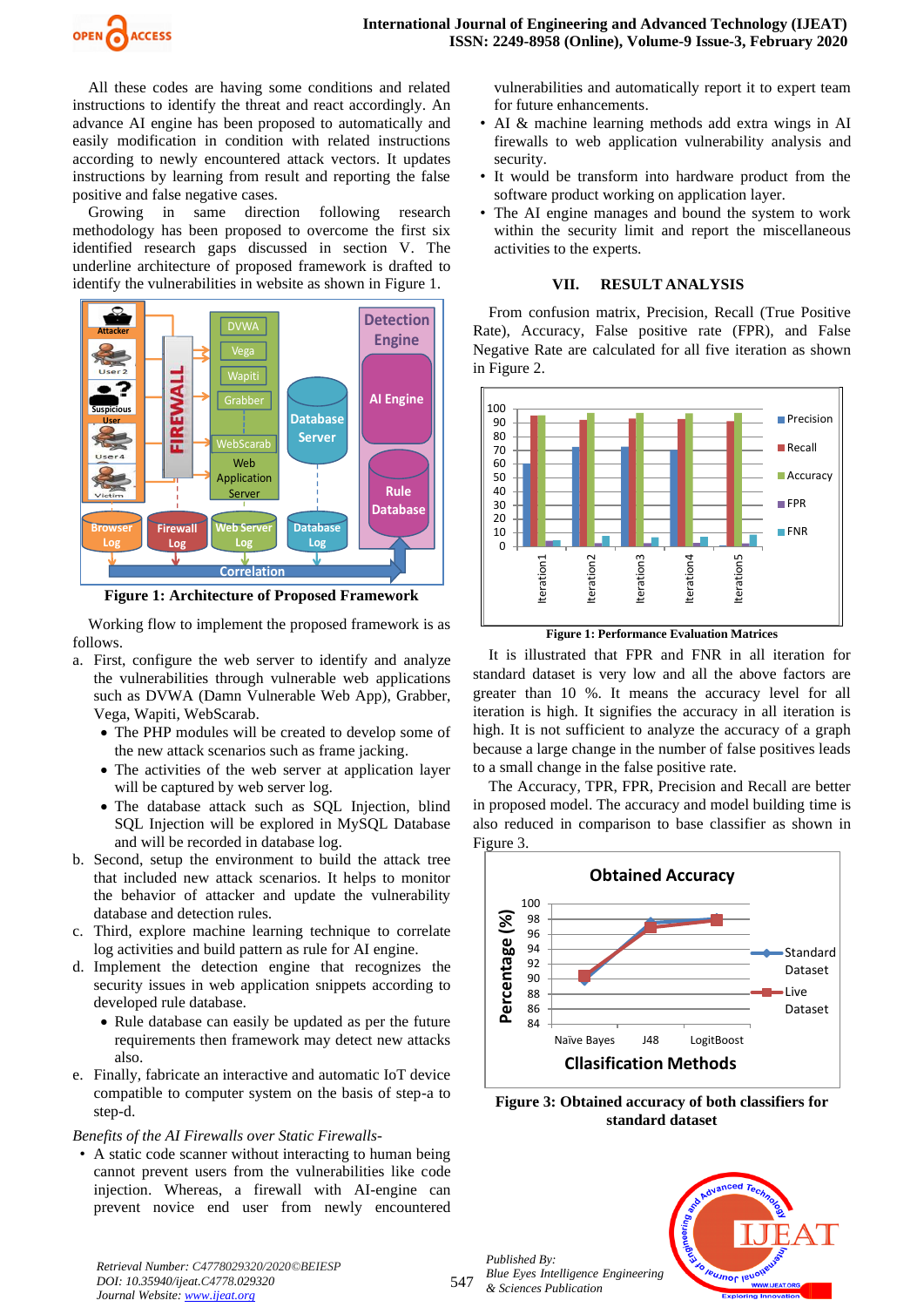

All these codes are having some conditions and related instructions to identify the threat and react accordingly. An advance AI engine has been proposed to automatically and easily modification in condition with related instructions according to newly encountered attack vectors. It updates instructions by learning from result and reporting the false positive and false negative cases.

Growing in same direction following research methodology has been proposed to overcome the first six identified research gaps discussed in section V. The underline architecture of proposed framework is drafted to identify the vulnerabilities in website as shown in Figure 1.



**Figure 1: Architecture of Proposed Framework**

Working flow to implement the proposed framework is as follows.

- a. First, configure the web server to identify and analyze the vulnerabilities through vulnerable web applications such as DVWA (Damn Vulnerable Web App), Grabber, Vega, Wapiti, WebScarab.
	- The PHP modules will be created to develop some of the new attack scenarios such as frame jacking.
	- The activities of the web server at application layer will be captured by web server log.
	- The database attack such as SQL Injection, blind SQL Injection will be explored in MySQL Database and will be recorded in database log.
- b. Second, setup the environment to build the attack tree that included new attack scenarios. It helps to monitor the behavior of attacker and update the vulnerability database and detection rules.
- c. Third, explore machine learning technique to correlate log activities and build pattern as rule for AI engine.
- d. Implement the detection engine that recognizes the security issues in web application snippets according to developed rule database.
	- Rule database can easily be updated as per the future requirements then framework may detect new attacks also.
- e. Finally, fabricate an interactive and automatic IoT device compatible to computer system on the basis of step-a to step-d.

## *Benefits of the AI Firewalls over Static Firewalls-*

• A static code scanner without interacting to human being cannot prevent users from the vulnerabilities like code injection. Whereas, a firewall with AI-engine can prevent novice end user from newly encountered

vulnerabilities and automatically report it to expert team for future enhancements.

- AI & machine learning methods add extra wings in AI firewalls to web application vulnerability analysis and security.
- It would be transform into hardware product from the software product working on application layer.
- The AI engine manages and bound the system to work within the security limit and report the miscellaneous activities to the experts.

## **VII. RESULT ANALYSIS**

From confusion matrix, Precision, Recall (True Positive Rate), Accuracy, False positive rate (FPR), and False Negative Rate are calculated for all five iteration as shown in Figure 2.



**Figure 1: Performance Evaluation Matrices**

It is illustrated that FPR and FNR in all iteration for standard dataset is very low and all the above factors are greater than 10 %. It means the accuracy level for all iteration is high. It signifies the accuracy in all iteration is high. It is not sufficient to analyze the accuracy of a graph because a large change in the number of false positives leads to a small change in the false positive rate.

The Accuracy, TPR, FPR, Precision and Recall are better in proposed model. The accuracy and model building time is also reduced in comparison to base classifier as shown in Figure 3.



**Figure 3: Obtained accuracy of both classifiers for standard dataset**

*Published By: Blue Eyes Intelligence Engineering & Sciences Publication* 



*Retrieval Number: C4778029320/2020©BEIESP DOI: 10.35940/ijeat.C4778.029320 Journal Website[: www.ijeat.org](http://www.ijeat.org/)*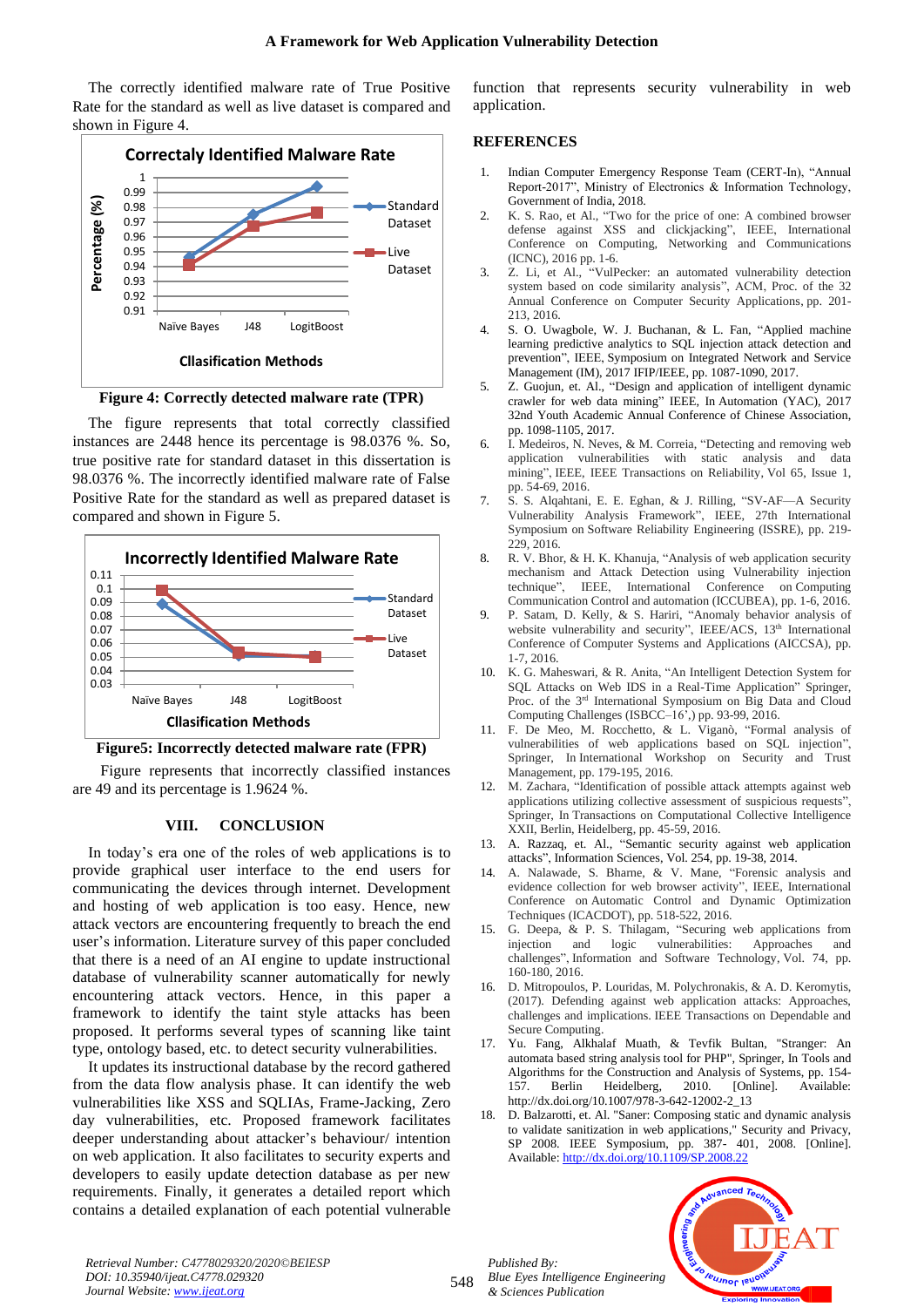The correctly identified malware rate of True Positive Rate for the standard as well as live dataset is compared and shown in Figure 4.



**Figure 4: Correctly detected malware rate (TPR)**

The figure represents that total correctly classified instances are 2448 hence its percentage is 98.0376 %. So, true positive rate for standard dataset in this dissertation is 98.0376 %. The incorrectly identified malware rate of False Positive Rate for the standard as well as prepared dataset is compared and shown in Figure 5.



## **Figure5: Incorrectly detected malware rate (FPR)**

Figure represents that incorrectly classified instances are 49 and its percentage is 1.9624 %.

## **VIII. CONCLUSION**

In today's era one of the roles of web applications is to provide graphical user interface to the end users for communicating the devices through internet. Development and hosting of web application is too easy. Hence, new attack vectors are encountering frequently to breach the end user's information. Literature survey of this paper concluded that there is a need of an AI engine to update instructional database of vulnerability scanner automatically for newly encountering attack vectors. Hence, in this paper a framework to identify the taint style attacks has been proposed. It performs several types of scanning like taint type, ontology based, etc. to detect security vulnerabilities.

It updates its instructional database by the record gathered from the data flow analysis phase. It can identify the web vulnerabilities like XSS and SQLIAs, Frame-Jacking, Zero day vulnerabilities, etc. Proposed framework facilitates deeper understanding about attacker's behaviour/ intention on web application. It also facilitates to security experts and developers to easily update detection database as per new requirements. Finally, it generates a detailed report which contains a detailed explanation of each potential vulnerable function that represents security vulnerability in web application.

### **REFERENCES**

- 1. Indian Computer Emergency Response Team (CERT-In), "Annual Report-2017", Ministry of Electronics & Information Technology, Government of India, 2018.
- 2. K. S. Rao, et Al., "Two for the price of one: A combined browser defense against XSS and clickjacking", IEEE, International Conference on Computing, Networking and Communications (ICNC), 2016 pp. 1-6.
- 3. Z. Li, et Al., "VulPecker: an automated vulnerability detection system based on code similarity analysis", ACM, Proc. of the 32 Annual Conference on Computer Security Applications, pp. 201- 213, 2016.
- 4. S. O. Uwagbole, W. J. Buchanan, & L. Fan, "Applied machine learning predictive analytics to SQL injection attack detection and prevention", IEEE, Symposium on Integrated Network and Service Management (IM), 2017 IFIP/IEEE, pp. 1087-1090, 2017.
- 5. Z. Guojun, et. Al., "Design and application of intelligent dynamic crawler for web data mining" IEEE, In Automation (YAC), 2017 32nd Youth Academic Annual Conference of Chinese Association, pp. 1098-1105, 2017.
- I. Medeiros, N. Neves, & M. Correia, "Detecting and removing web application vulnerabilities with static analysis and data mining", IEEE, IEEE Transactions on Reliability, Vol 65, Issue 1, pp. 54-69, 2016.
- 7. S. S. Alqahtani, E. E. Eghan, & J. Rilling, "SV-AF—A Security Vulnerability Analysis Framework", IEEE, 27th International Symposium on Software Reliability Engineering (ISSRE), pp. 219- 229, 2016.
- 8. R. V. Bhor, & H. K. Khanuja, "Analysis of web application security mechanism and Attack Detection using Vulnerability injection technique", IEEE, International Conference on Computing Communication Control and automation (ICCUBEA), pp. 1-6, 2016.
- 9. P. Satam, D. Kelly, & S. Hariri, "Anomaly behavior analysis of website vulnerability and security", IEEE/ACS, 13<sup>th</sup> International Conference of Computer Systems and Applications (AICCSA), pp. 1-7, 2016.
- 10. K. G. Maheswari, & R. Anita, "An Intelligent Detection System for SQL Attacks on Web IDS in a Real-Time Application" Springer, Proc. of the 3<sup>rd</sup> International Symposium on Big Data and Cloud Computing Challenges (ISBCC–16',) pp. 93-99, 2016.
- 11. F. De Meo, M. Rocchetto, & L. Viganò, "Formal analysis of vulnerabilities of web applications based on SQL injection", Springer, In International Workshop on Security and Trust Management, pp. 179-195, 2016.
- 12. M. Zachara, "Identification of possible attack attempts against web applications utilizing collective assessment of suspicious requests", Springer, In Transactions on Computational Collective Intelligence XXII, Berlin, Heidelberg, pp. 45-59, 2016.
- 13. A. Razzaq, et. Al., "Semantic security against web application attacks", Information Sciences, Vol. 254, pp. 19-38, 2014.
- 14. A. Nalawade, S. Bharne, & V. Mane, "Forensic analysis and evidence collection for web browser activity", IEEE, International Conference on Automatic Control and Dynamic Optimization Techniques (ICACDOT), pp. 518-522, 2016.
- 15. G. Deepa, & P. S. Thilagam, "Securing web applications from injection and logic vulnerabilities: Approaches and challenges", Information and Software Technology, Vol. 74, pp. 160-180, 2016.
- 16. D. Mitropoulos, P. Louridas, M. Polychronakis, & A. D. Keromytis, (2017). Defending against web application attacks: Approaches, challenges and implications. IEEE Transactions on Dependable and Secure Computing.
- 17. Yu. Fang, Alkhalaf Muath, & Tevfik Bultan, "Stranger: An automata based string analysis tool for PHP", Springer, In Tools and Algorithms for the Construction and Analysis of Systems, pp. 154- 157. Berlin Heidelberg, 2010. [Online]. Available: http://dx.doi.org/10.1007/978-3-642-12002-2\_13
- 18. D. Balzarotti, et. Al. "Saner: Composing static and dynamic analysis to validate sanitization in web applications," Security and Privacy, SP 2008. IEEE Symposium, pp. 387- 401, 2008. [Online]. Available[: http://dx.doi.org/10.1109/SP.2008.22](http://dx.doi.org/10.1109/SP.2008.22)

leusnor leuor